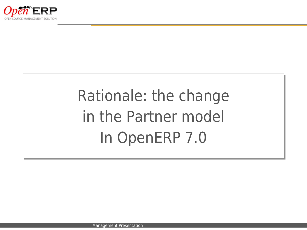

## Rationale: the change Rationale: the change in the Partner model in the Partner model In OpenERP 7.0 In OpenERP 7.0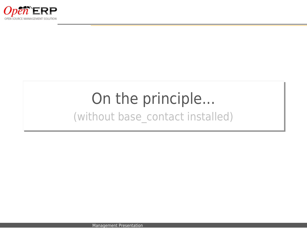

## On the principle... (without base\_contact installed)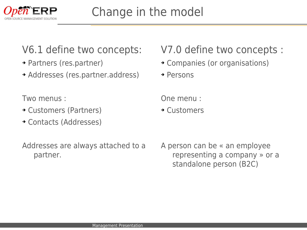

#### V6.1 define two concepts:

- ➔ Partners (res.partner)
- ➔ Addresses (res.partner.address)

Two menus :

- ➔ Customers (Partners)
- ➔ Contacts (Addresses)

Addresses are always attached to a partner.

#### V7.0 define two concepts :

➔ Companies (or organisations)

➔ Persons

One menu :

➔ Customers

A person can be « an employee representing a company » or a standalone person (B2C)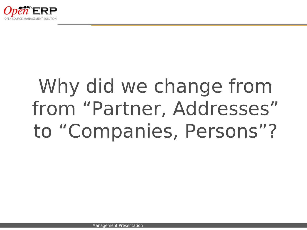

# Why did we change from from "Partner, Addresses" to "Companies, Persons"?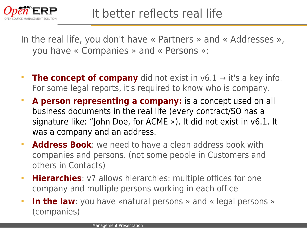

In the real life, you don't have « Partners » and « Addresses », you have « Companies » and « Persons »:

- **The concept of company** did not exist in v6.1 → it's a key info. For some legal reports, it's required to know who is company.
- **A person representing a company:** is a concept used on all business documents in the real life (every contract/SO has a signature like: "John Doe, for ACME »). It did not exist in v6.1. It was a company and an address.
- **Address Book**: we need to have a clean address book with companies and persons. (not some people in Customers and others in Contacts)
- **Hierarchies**: v7 allows hierarchies: multiple offices for one company and multiple persons working in each office
- **In the law**: you have «natural persons » and « legal persons » (companies)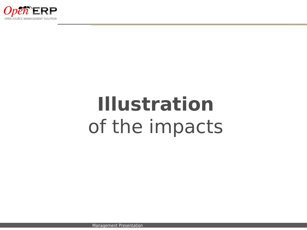

# **Illustration** of the impacts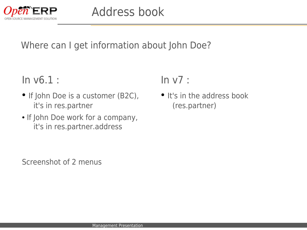

#### Where can I get information about John Doe?

In v6.1 :

- If John Doe is a customer (B2C), it's in res.partner
- If John Doe work for a company, it's in res.partner.address

 $In v7:$ 

• It's in the address book (res.partner)

Screenshot of 2 menus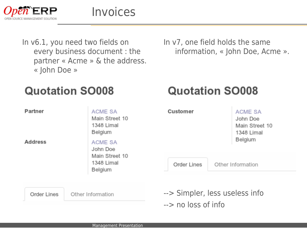

In v6.1, you need two fields on every business document : the partner « Acme » & the address. « John Doe »

In v7, one field holds the same information, « John Doe, Acme ».

**Quotation SO008** 

#### **Quotation SO008**

| Partner<br><b>Address</b>        | ACME SA<br>Main Street 10<br>1348 Limal<br>Belgium<br>ACME SA<br>John Doe<br>Main Street 10<br>1348 Limal<br>Belgium | Customer                                                        |                   | <b>ACME SA</b><br>John Doe<br>Main Street 10<br>1348 Limal<br>Belgium |
|----------------------------------|----------------------------------------------------------------------------------------------------------------------|-----------------------------------------------------------------|-------------------|-----------------------------------------------------------------------|
|                                  |                                                                                                                      | Order Lines                                                     | Other Information |                                                                       |
| Order Lines<br>Other Information |                                                                                                                      | --> Simpler, less useless info<br>$\rightarrow$ no loss of info |                   |                                                                       |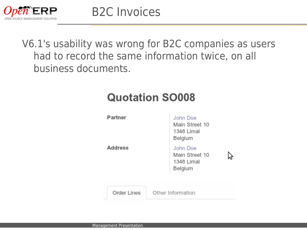

V6.1's usability was wrong for B2C companies as users had to record the same information twice, on all business documents.

#### **Quotation SO008**

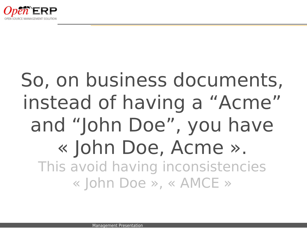

## So, on business documents, instead of having a "Acme" and "John Doe", you have « John Doe, Acme ». This avoid having inconsistencies « John Doe », « AMCE »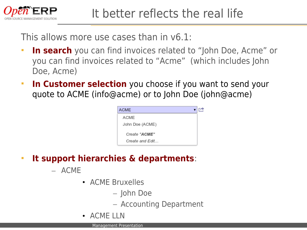

This allows more use cases than in v6.1:

- **In search** you can find invoices related to "John Doe, Acme" or you can find invoices related to "Acme" (which includes John Doe, Acme)
- **In Customer selection** you choose if you want to send your quote to ACME (info@acme) or to John Doe (john@acme)



- **It support hierarchies & departments**:
	- ACME
		- ACME Bruxelles
			- John Doe
			- Accounting Department
		- ACME IIN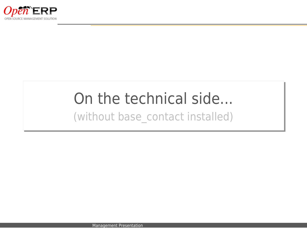

### On the technical side... (without base\_contact installed)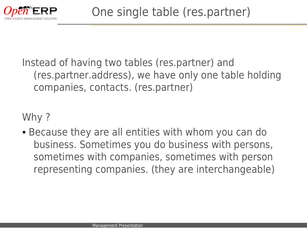

Instead of having two tables (res.partner) and (res.partner.address), we have only one table holding companies, contacts. (res.partner)

Why ?

• Because they are all entities with whom you can do business. Sometimes you do business with persons, sometimes with companies, sometimes with person representing companies. (they are interchangeable)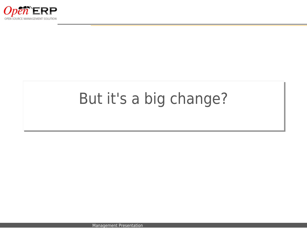

## But it's a big change?